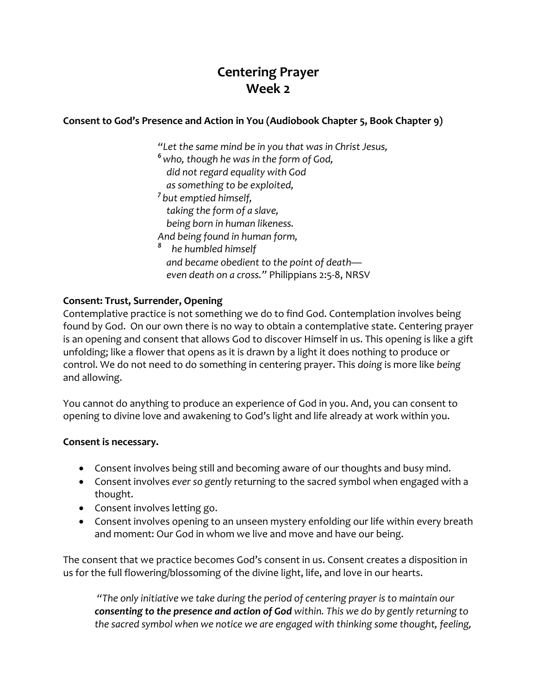# **Centering Prayer Week 2**

#### **Consent to God's Presence and Action in You (Audiobook Chapter 5, Book Chapter 9)**

*"Let the same mind be in you that was in Christ Jesus, <sup>6</sup>who, though he was in the form of God, did not regard equality with God as something to be exploited, 7 but emptied himself, taking the form of a slave, being born in human likeness. And being found in human form, <sup>8</sup> he humbled himself and became obedient to the point of death even death on a cross."* Philippians 2:5-8, NRSV

#### **Consent: Trust, Surrender, Opening**

Contemplative practice is not something we do to find God. Contemplation involves being found by God. On our own there is no way to obtain a contemplative state. Centering prayer is an opening and consent that allows God to discover Himself in us. This opening is like a gift unfolding; like a flower that opens as it is drawn by a light it does nothing to produce or control. We do not need to do something in centering prayer. This *doing* is more like *being* and allowing.

You cannot do anything to produce an experience of God in you. And, you can consent to opening to divine love and awakening to God's light and life already at work within you.

#### **Consent is necessary.**

- Consent involves being still and becoming aware of our thoughts and busy mind.
- Consent involves *ever so gently* returning to the sacred symbol when engaged with a thought.
- Consent involves letting go.
- Consent involves opening to an unseen mystery enfolding our life within every breath and moment: Our God in whom we live and move and have our being.

The consent that we practice becomes God's consent in us. Consent creates a disposition in us for the full flowering/blossoming of the divine light, life, and love in our hearts.

*"The only initiative we take during the period of centering prayer is to maintain our consenting to the presence and action of God within. This we do by gently returning to the sacred symbol when we notice we are engaged with thinking some thought, feeling,*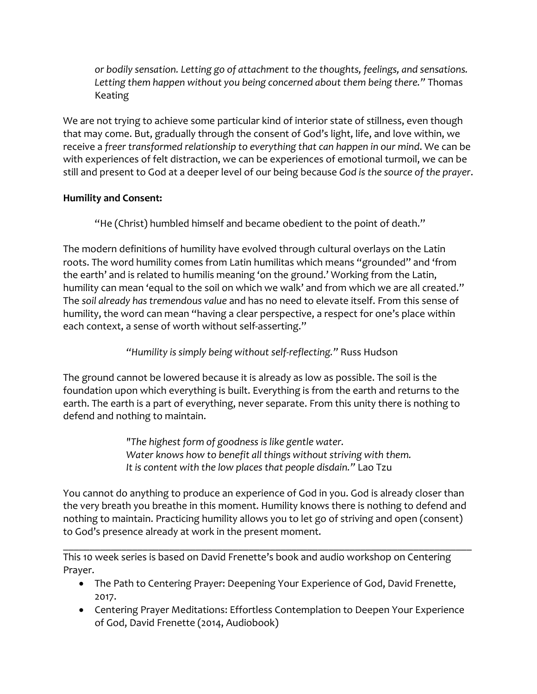*or bodily sensation. Letting go of attachment to the thoughts, feelings, and sensations. Letting them happen without you being concerned about them being there."* Thomas Keating

We are not trying to achieve some particular kind of interior state of stillness, even though that may come. But, gradually through the consent of God's light, life, and love within, we receive a *freer transformed relationship to everything that can happen in our mind*. We can be with experiences of felt distraction, we can be experiences of emotional turmoil, we can be still and present to God at a deeper level of our being because *God is the source of the prayer*.

### **Humility and Consent:**

"He (Christ) humbled himself and became obedient to the point of death."

The modern definitions of humility have evolved through cultural overlays on the Latin roots. The word humility comes from Latin humilitas which means "grounded" and 'from the earth' and is related to humilis meaning 'on the ground.' Working from the Latin, humility can mean 'equal to the soil on which we walk' and from which we are all created." The *soil already has tremendous value* and has no need to elevate itself. From this sense of humility, the word can mean "having a clear perspective, a respect for one's place within each context, a sense of worth without self-asserting."

## *"Humility is simply being without self-reflecting."* Russ Hudson

The ground cannot be lowered because it is already as low as possible. The soil is the foundation upon which everything is built. Everything is from the earth and returns to the earth. The earth is a part of everything, never separate. From this unity there is nothing to defend and nothing to maintain.

> *"The highest form of goodness is like gentle water. Water knows how to benefit all things without striving with them. It is content with the low places that people disdain."* Lao Tzu

You cannot do anything to produce an experience of God in you. God is already closer than the very breath you breathe in this moment. Humility knows there is nothing to defend and nothing to maintain. Practicing humility allows you to let go of striving and open (consent) to God's presence already at work in the present moment.

\_\_\_\_\_\_\_\_\_\_\_\_\_\_\_\_\_\_\_\_\_\_\_\_\_\_\_\_\_\_\_\_\_\_\_\_\_\_\_\_\_\_\_\_\_\_\_\_\_\_\_\_\_\_\_\_\_\_\_\_\_\_\_\_\_\_\_\_\_\_\_\_\_\_\_\_\_ This 10 week series is based on David Frenette's book and audio workshop on Centering Prayer.

- The Path to Centering Prayer: Deepening Your Experience of God, David Frenette, 2017.
- Centering Prayer Meditations: Effortless Contemplation to Deepen Your Experience of God, David Frenette (2014, Audiobook)